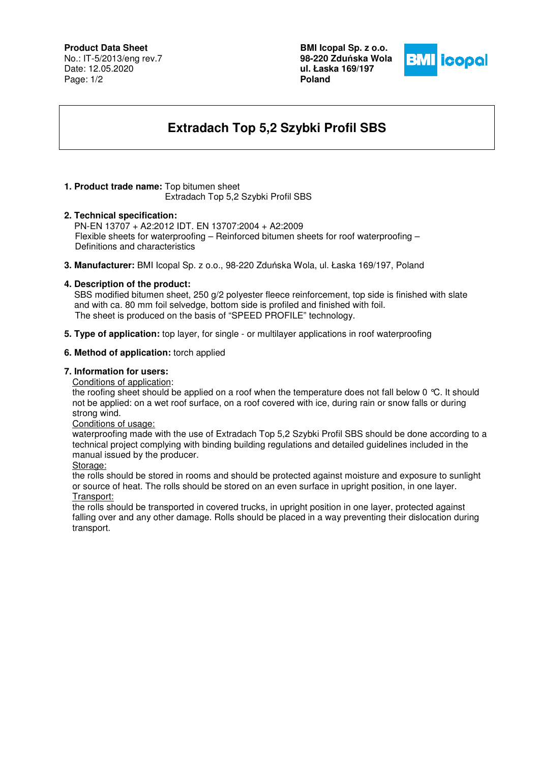## **Product Data Sheet**

No.: IT-5/2013/eng rev.7 Date: 12.05.2020 Page: 1/2

**BMI Icopal Sp. z o.o. 98-220 Zdu**ń**ska Wola ul. Łaska 169/197 Poland** 



# **Extradach Top 5,2 Szybki Profil SBS**

## **1. Product trade name:** Top bitumen sheet

Extradach Top 5,2 Szybki Profil SBS

## **2. Technical specification:**

PN-EN 13707 + A2:2012 IDT. EN 13707:2004 + A2:2009 Flexible sheets for waterproofing – Reinforced bitumen sheets for roof waterproofing – Definitions and characteristics

**3. Manufacturer:** BMI Icopal Sp. z o.o., 98-220 Zduńska Wola, ul. Łaska 169/197, Poland

## **4. Description of the product:**

 SBS modified bitumen sheet, 250 g/2 polyester fleece reinforcement, top side is finished with slate and with ca. 80 mm foil selvedge, bottom side is profiled and finished with foil. The sheet is produced on the basis of "SPEED PROFILE" technology.

**5. Type of application:** top layer, for single - or multilayer applications in roof waterproofing

## **6. Method of application:** torch applied

#### **7. Information for users:**

Conditions of application:

the roofing sheet should be applied on a roof when the temperature does not fall below 0 °C. It should not be applied: on a wet roof surface, on a roof covered with ice, during rain or snow falls or during strong wind.

#### Conditions of usage:

waterproofing made with the use of Extradach Top 5,2 Szybki Profil SBS should be done according to a technical project complying with binding building regulations and detailed guidelines included in the manual issued by the producer.

#### Storage:

the rolls should be stored in rooms and should be protected against moisture and exposure to sunlight or source of heat. The rolls should be stored on an even surface in upright position, in one layer. Transport:

the rolls should be transported in covered trucks, in upright position in one layer, protected against falling over and any other damage. Rolls should be placed in a way preventing their dislocation during transport.